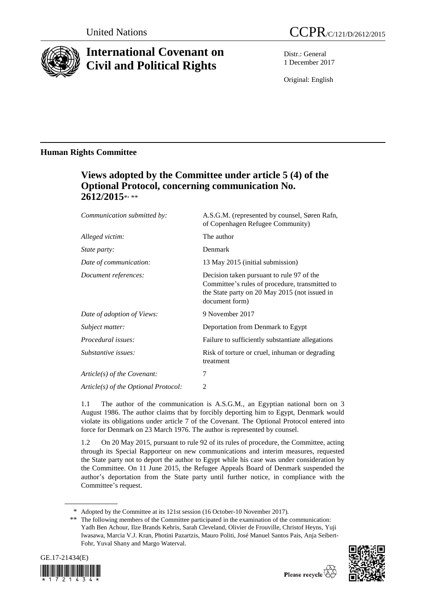

# **International Covenant on Civil and Political Rights**

Distr.: General 1 December 2017

Original: English

### **Human Rights Committee**

## **Views adopted by the Committee under article 5 (4) of the Optional Protocol, concerning communication No. 2612/2015**\* , \*\*

| Communication submitted by:          | A.S.G.M. (represented by counsel, Søren Rafn,<br>of Copenhagen Refugee Community)                                                                              |
|--------------------------------------|----------------------------------------------------------------------------------------------------------------------------------------------------------------|
| Alleged victim:                      | The author                                                                                                                                                     |
| <i>State party:</i>                  | Denmark                                                                                                                                                        |
| Date of communication:               | 13 May 2015 (initial submission)                                                                                                                               |
| Document references:                 | Decision taken pursuant to rule 97 of the<br>Committee's rules of procedure, transmitted to<br>the State party on 20 May 2015 (not issued in<br>document form) |
| Date of adoption of Views:           | 9 November 2017                                                                                                                                                |
| Subject matter:                      | Deportation from Denmark to Egypt                                                                                                                              |
| <i>Procedural issues:</i>            | Failure to sufficiently substantiate allegations                                                                                                               |
| Substantive issues:                  | Risk of torture or cruel, inhuman or degrading<br>treatment                                                                                                    |
| Article(s) of the Covenant:          | 7                                                                                                                                                              |
| Article(s) of the Optional Protocol: | 2                                                                                                                                                              |

1.1 The author of the communication is A.S.G.M., an Egyptian national born on 3 August 1986. The author claims that by forcibly deporting him to Egypt, Denmark would violate its obligations under article 7 of the Covenant. The Optional Protocol entered into force for Denmark on 23 March 1976. The author is represented by counsel.

1.2 On 20 May 2015, pursuant to rule 92 of its rules of procedure, the Committee, acting through its Special Rapporteur on new communications and interim measures, requested the State party not to deport the author to Egypt while his case was under consideration by the Committee. On 11 June 2015, the Refugee Appeals Board of Denmark suspended the author's deportation from the State party until further notice, in compliance with the Committee's request.

<sup>\*\*</sup> The following members of the Committee participated in the examination of the communication: Yadh Ben Achour, Ilze Brands Kehris, Sarah Cleveland, Olivier de Frouville, Christof Heyns, Yuji Iwasawa, Marcia V.J. Kran, Photini Pazartzis, Mauro Politi, José Manuel Santos Pais, Anja Seibert-Fohr, Yuval Shany and Margo Waterval.





<sup>\*</sup> Adopted by the Committee at its 121st session (16 October-10 November 2017).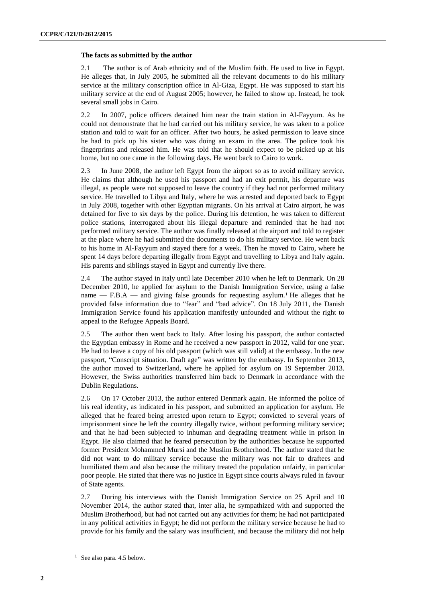#### **The facts as submitted by the author**

2.1 The author is of Arab ethnicity and of the Muslim faith. He used to live in Egypt. He alleges that, in July 2005, he submitted all the relevant documents to do his military service at the military conscription office in Al-Giza, Egypt. He was supposed to start his military service at the end of August 2005; however, he failed to show up. Instead, he took several small jobs in Cairo.

2.2 In 2007, police officers detained him near the train station in Al-Fayyum. As he could not demonstrate that he had carried out his military service, he was taken to a police station and told to wait for an officer. After two hours, he asked permission to leave since he had to pick up his sister who was doing an exam in the area. The police took his fingerprints and released him. He was told that he should expect to be picked up at his home, but no one came in the following days. He went back to Cairo to work.

2.3 In June 2008, the author left Egypt from the airport so as to avoid military service. He claims that although he used his passport and had an exit permit, his departure was illegal, as people were not supposed to leave the country if they had not performed military service. He travelled to Libya and Italy, where he was arrested and deported back to Egypt in July 2008, together with other Egyptian migrants. On his arrival at Cairo airport, he was detained for five to six days by the police. During his detention, he was taken to different police stations, interrogated about his illegal departure and reminded that he had not performed military service. The author was finally released at the airport and told to register at the place where he had submitted the documents to do his military service. He went back to his home in Al-Fayyum and stayed there for a week. Then he moved to Cairo, where he spent 14 days before departing illegally from Egypt and travelling to Libya and Italy again. His parents and siblings stayed in Egypt and currently live there.

2.4 The author stayed in Italy until late December 2010 when he left to Denmark. On 28 December 2010, he applied for asylum to the Danish Immigration Service, using a false name — F.B.A — and giving false grounds for requesting asylum.<sup>1</sup> He alleges that he provided false information due to "fear" and "bad advice". On 18 July 2011, the Danish Immigration Service found his application manifestly unfounded and without the right to appeal to the Refugee Appeals Board.

2.5 The author then went back to Italy. After losing his passport, the author contacted the Egyptian embassy in Rome and he received a new passport in 2012, valid for one year. He had to leave a copy of his old passport (which was still valid) at the embassy. In the new passport, "Conscript situation. Draft age" was written by the embassy. In September 2013, the author moved to Switzerland, where he applied for asylum on 19 September 2013. However, the Swiss authorities transferred him back to Denmark in accordance with the Dublin Regulations.

2.6 On 17 October 2013, the author entered Denmark again. He informed the police of his real identity, as indicated in his passport, and submitted an application for asylum. He alleged that he feared being arrested upon return to Egypt; convicted to several years of imprisonment since he left the country illegally twice, without performing military service; and that he had been subjected to inhuman and degrading treatment while in prison in Egypt. He also claimed that he feared persecution by the authorities because he supported former President Mohammed Mursi and the Muslim Brotherhood. The author stated that he did not want to do military service because the military was not fair to draftees and humiliated them and also because the military treated the population unfairly, in particular poor people. He stated that there was no justice in Egypt since courts always ruled in favour of State agents.

2.7 During his interviews with the Danish Immigration Service on 25 April and 10 November 2014, the author stated that, inter alia, he sympathized with and supported the Muslim Brotherhood, but had not carried out any activities for them; he had not participated in any political activities in Egypt; he did not perform the military service because he had to provide for his family and the salary was insufficient, and because the military did not help

<sup>1</sup> See also para. 4.5 below.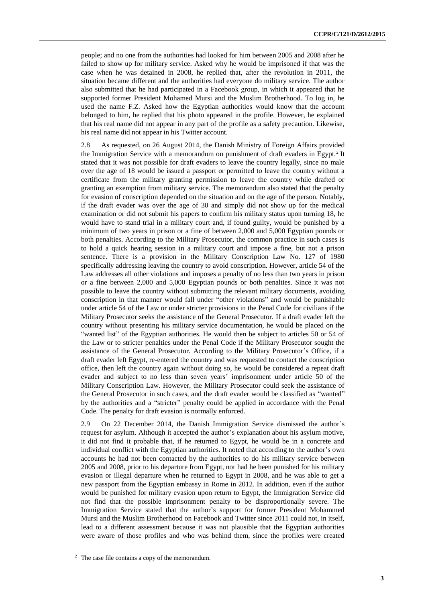people; and no one from the authorities had looked for him between 2005 and 2008 after he failed to show up for military service. Asked why he would be imprisoned if that was the case when he was detained in 2008, he replied that, after the revolution in 2011, the situation became different and the authorities had everyone do military service. The author also submitted that he had participated in a Facebook group, in which it appeared that he supported former President Mohamed Mursi and the Muslim Brotherhood. To log in, he used the name F.Z. Asked how the Egyptian authorities would know that the account belonged to him, he replied that his photo appeared in the profile. However, he explained that his real name did not appear in any part of the profile as a safety precaution. Likewise, his real name did not appear in his Twitter account.

2.8 As requested, on 26 August 2014, the Danish Ministry of Foreign Affairs provided the Immigration Service with a memorandum on punishment of draft evaders in Egypt.<sup>2</sup> It stated that it was not possible for draft evaders to leave the country legally, since no male over the age of 18 would be issued a passport or permitted to leave the country without a certificate from the military granting permission to leave the country while drafted or granting an exemption from military service. The memorandum also stated that the penalty for evasion of conscription depended on the situation and on the age of the person. Notably, if the draft evader was over the age of 30 and simply did not show up for the medical examination or did not submit his papers to confirm his military status upon turning 18, he would have to stand trial in a military court and, if found guilty, would be punished by a minimum of two years in prison or a fine of between 2,000 and 5,000 Egyptian pounds or both penalties. According to the Military Prosecutor, the common practice in such cases is to hold a quick hearing session in a military court and impose a fine, but not a prison sentence. There is a provision in the Military Conscription Law No. 127 of 1980 specifically addressing leaving the country to avoid conscription. However, article 54 of the Law addresses all other violations and imposes a penalty of no less than two years in prison or a fine between 2,000 and 5,000 Egyptian pounds or both penalties. Since it was not possible to leave the country without submitting the relevant military documents, avoiding conscription in that manner would fall under "other violations" and would be punishable under article 54 of the Law or under stricter provisions in the Penal Code for civilians if the Military Prosecutor seeks the assistance of the General Prosecutor. If a draft evader left the country without presenting his military service documentation, he would be placed on the "wanted list" of the Egyptian authorities. He would then be subject to articles 50 or 54 of the Law or to stricter penalties under the Penal Code if the Military Prosecutor sought the assistance of the General Prosecutor. According to the Military Prosecutor's Office, if a draft evader left Egypt, re-entered the country and was requested to contact the conscription office, then left the country again without doing so, he would be considered a repeat draft evader and subject to no less than seven years' imprisonment under article 50 of the Military Conscription Law. However, the Military Prosecutor could seek the assistance of the General Prosecutor in such cases, and the draft evader would be classified as "wanted" by the authorities and a "stricter" penalty could be applied in accordance with the Penal Code. The penalty for draft evasion is normally enforced.

2.9 On 22 December 2014, the Danish Immigration Service dismissed the author's request for asylum. Although it accepted the author's explanation about his asylum motive, it did not find it probable that, if he returned to Egypt, he would be in a concrete and individual conflict with the Egyptian authorities. It noted that according to the author's own accounts he had not been contacted by the authorities to do his military service between 2005 and 2008, prior to his departure from Egypt, nor had he been punished for his military evasion or illegal departure when he returned to Egypt in 2008, and he was able to get a new passport from the Egyptian embassy in Rome in 2012. In addition, even if the author would be punished for military evasion upon return to Egypt, the Immigration Service did not find that the possible imprisonment penalty to be disproportionally severe. The Immigration Service stated that the author's support for former President Mohammed Mursi and the Muslim Brotherhood on Facebook and Twitter since 2011 could not, in itself, lead to a different assessment because it was not plausible that the Egyptian authorities were aware of those profiles and who was behind them, since the profiles were created

<sup>2</sup> The case file contains a copy of the memorandum.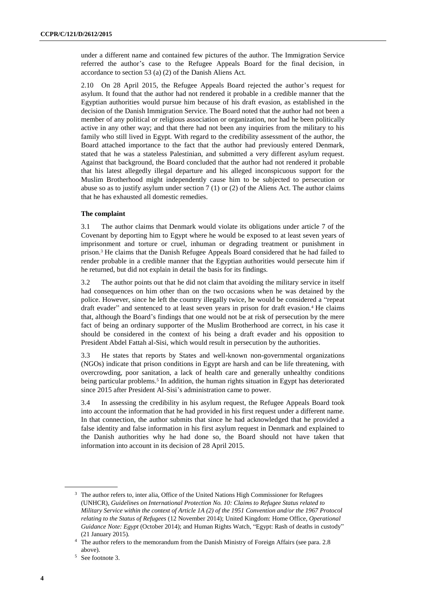under a different name and contained few pictures of the author. The Immigration Service referred the author's case to the Refugee Appeals Board for the final decision, in accordance to section 53 (a) (2) of the Danish Aliens Act.

2.10 On 28 April 2015, the Refugee Appeals Board rejected the author's request for asylum. It found that the author had not rendered it probable in a credible manner that the Egyptian authorities would pursue him because of his draft evasion, as established in the decision of the Danish Immigration Service. The Board noted that the author had not been a member of any political or religious association or organization, nor had he been politically active in any other way; and that there had not been any inquiries from the military to his family who still lived in Egypt. With regard to the credibility assessment of the author, the Board attached importance to the fact that the author had previously entered Denmark, stated that he was a stateless Palestinian, and submitted a very different asylum request. Against that background, the Board concluded that the author had not rendered it probable that his latest allegedly illegal departure and his alleged inconspicuous support for the Muslim Brotherhood might independently cause him to be subjected to persecution or abuse so as to justify asylum under section  $7(1)$  or  $(2)$  of the Aliens Act. The author claims that he has exhausted all domestic remedies.

#### **The complaint**

3.1 The author claims that Denmark would violate its obligations under article 7 of the Covenant by deporting him to Egypt where he would be exposed to at least seven years of imprisonment and torture or cruel, inhuman or degrading treatment or punishment in prison.<sup>3</sup> He claims that the Danish Refugee Appeals Board considered that he had failed to render probable in a credible manner that the Egyptian authorities would persecute him if he returned, but did not explain in detail the basis for its findings.

3.2 The author points out that he did not claim that avoiding the military service in itself had consequences on him other than on the two occasions when he was detained by the police. However, since he left the country illegally twice, he would be considered a "repeat draft evader" and sentenced to at least seven years in prison for draft evasion.<sup>4</sup> He claims that, although the Board's findings that one would not be at risk of persecution by the mere fact of being an ordinary supporter of the Muslim Brotherhood are correct, in his case it should be considered in the context of his being a draft evader and his opposition to President Abdel Fattah al-Sisi, which would result in persecution by the authorities.

3.3 He states that reports by States and well-known non-governmental organizations (NGOs) indicate that prison conditions in Egypt are harsh and can be life threatening, with overcrowding, poor sanitation, a lack of health care and generally unhealthy conditions being particular problems.<sup>5</sup> In addition, the human rights situation in Egypt has deteriorated since 2015 after President Al-Sisi's administration came to power.

3.4 In assessing the credibility in his asylum request, the Refugee Appeals Board took into account the information that he had provided in his first request under a different name. In that connection, the author submits that since he had acknowledged that he provided a false identity and false information in his first asylum request in Denmark and explained to the Danish authorities why he had done so, the Board should not have taken that information into account in its decision of 28 April 2015.

<sup>&</sup>lt;sup>3</sup> The author refers to, inter alia, Office of the United Nations High Commissioner for Refugees (UNHCR), *Guidelines on International Protection No. 10: Claims to Refugee Status related to Military Service within the context of Article 1A (2) of the 1951 Convention and/or the 1967 Protocol relating to the Status of Refugees* (12 November 2014); United Kingdom: Home Office, *Operational Guidance Note: Egypt* (October 2014); and Human Rights Watch, "Egypt: Rash of deaths in custody" (21 January 2015).

<sup>4</sup> The author refers to the memorandum from the Danish Ministry of Foreign Affairs (see para. 2.8 above).

<sup>5</sup> See footnote 3.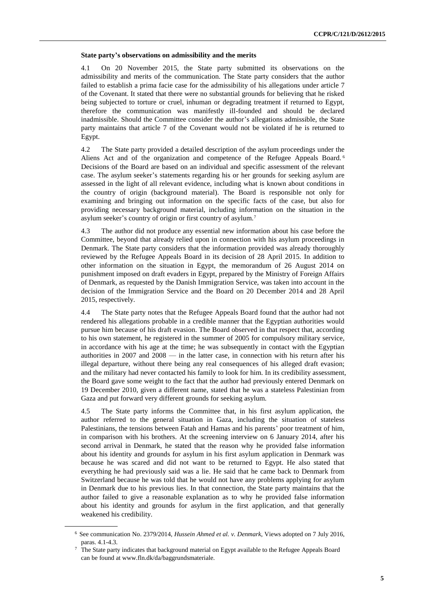#### **State party's observations on admissibility and the merits**

4.1 On 20 November 2015, the State party submitted its observations on the admissibility and merits of the communication. The State party considers that the author failed to establish a prima facie case for the admissibility of his allegations under article 7 of the Covenant. It stated that there were no substantial grounds for believing that he risked being subjected to torture or cruel, inhuman or degrading treatment if returned to Egypt, therefore the communication was manifestly ill-founded and should be declared inadmissible. Should the Committee consider the author's allegations admissible, the State party maintains that article 7 of the Covenant would not be violated if he is returned to Egypt.

4.2 The State party provided a detailed description of the asylum proceedings under the Aliens Act and of the organization and competence of the Refugee Appeals Board.<sup>6</sup> Decisions of the Board are based on an individual and specific assessment of the relevant case. The asylum seeker's statements regarding his or her grounds for seeking asylum are assessed in the light of all relevant evidence, including what is known about conditions in the country of origin (background material). The Board is responsible not only for examining and bringing out information on the specific facts of the case, but also for providing necessary background material, including information on the situation in the asylum seeker's country of origin or first country of asylum.<sup>7</sup>

4.3 The author did not produce any essential new information about his case before the Committee, beyond that already relied upon in connection with his asylum proceedings in Denmark. The State party considers that the information provided was already thoroughly reviewed by the Refugee Appeals Board in its decision of 28 April 2015. In addition to other information on the situation in Egypt, the memorandum of 26 August 2014 on punishment imposed on draft evaders in Egypt, prepared by the Ministry of Foreign Affairs of Denmark, as requested by the Danish Immigration Service, was taken into account in the decision of the Immigration Service and the Board on 20 December 2014 and 28 April 2015, respectively.

4.4 The State party notes that the Refugee Appeals Board found that the author had not rendered his allegations probable in a credible manner that the Egyptian authorities would pursue him because of his draft evasion. The Board observed in that respect that, according to his own statement, he registered in the summer of 2005 for compulsory military service, in accordance with his age at the time; he was subsequently in contact with the Egyptian authorities in 2007 and 2008 — in the latter case, in connection with his return after his illegal departure, without there being any real consequences of his alleged draft evasion; and the military had never contacted his family to look for him. In its credibility assessment, the Board gave some weight to the fact that the author had previously entered Denmark on 19 December 2010, given a different name, stated that he was a stateless Palestinian from Gaza and put forward very different grounds for seeking asylum.

4.5 The State party informs the Committee that, in his first asylum application, the author referred to the general situation in Gaza, including the situation of stateless Palestinians, the tensions between Fatah and Hamas and his parents' poor treatment of him, in comparison with his brothers. At the screening interview on 6 January 2014, after his second arrival in Denmark, he stated that the reason why he provided false information about his identity and grounds for asylum in his first asylum application in Denmark was because he was scared and did not want to be returned to Egypt. He also stated that everything he had previously said was a lie. He said that he came back to Denmark from Switzerland because he was told that he would not have any problems applying for asylum in Denmark due to his previous lies. In that connection, the State party maintains that the author failed to give a reasonable explanation as to why he provided false information about his identity and grounds for asylum in the first application, and that generally weakened his credibility.

<sup>6</sup> See communication No. 2379/2014, *Hussein Ahmed et al. v. Denmark*, Views adopted on 7 July 2016, paras. 4.1-4.3.

<sup>7</sup> The State party indicates that background material on Egypt available to the Refugee Appeals Board can be found at www.fln.dk/da/baggrundsmateriale.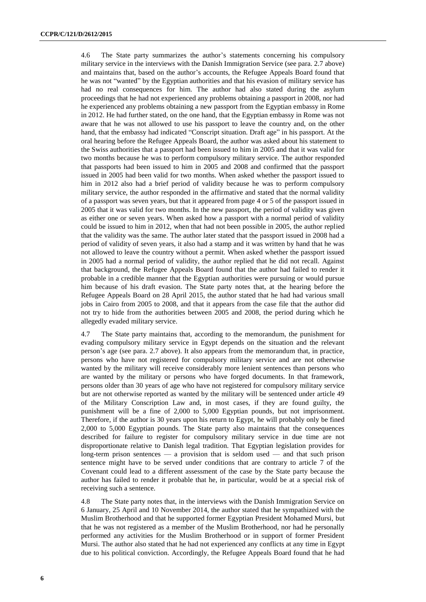4.6 The State party summarizes the author's statements concerning his compulsory military service in the interviews with the Danish Immigration Service (see para. 2.7 above) and maintains that, based on the author's accounts, the Refugee Appeals Board found that he was not "wanted" by the Egyptian authorities and that his evasion of military service has had no real consequences for him. The author had also stated during the asylum proceedings that he had not experienced any problems obtaining a passport in 2008, nor had he experienced any problems obtaining a new passport from the Egyptian embassy in Rome in 2012. He had further stated, on the one hand, that the Egyptian embassy in Rome was not aware that he was not allowed to use his passport to leave the country and, on the other hand, that the embassy had indicated "Conscript situation. Draft age" in his passport. At the oral hearing before the Refugee Appeals Board, the author was asked about his statement to the Swiss authorities that a passport had been issued to him in 2005 and that it was valid for two months because he was to perform compulsory military service. The author responded that passports had been issued to him in 2005 and 2008 and confirmed that the passport issued in 2005 had been valid for two months. When asked whether the passport issued to him in 2012 also had a brief period of validity because he was to perform compulsory military service, the author responded in the affirmative and stated that the normal validity of a passport was seven years, but that it appeared from page 4 or 5 of the passport issued in 2005 that it was valid for two months. In the new passport, the period of validity was given as either one or seven years. When asked how a passport with a normal period of validity could be issued to him in 2012, when that had not been possible in 2005, the author replied that the validity was the same. The author later stated that the passport issued in 2008 had a period of validity of seven years, it also had a stamp and it was written by hand that he was not allowed to leave the country without a permit. When asked whether the passport issued in 2005 had a normal period of validity, the author replied that he did not recall. Against that background, the Refugee Appeals Board found that the author had failed to render it probable in a credible manner that the Egyptian authorities were pursuing or would pursue him because of his draft evasion. The State party notes that, at the hearing before the Refugee Appeals Board on 28 April 2015, the author stated that he had had various small jobs in Cairo from 2005 to 2008, and that it appears from the case file that the author did not try to hide from the authorities between 2005 and 2008, the period during which he allegedly evaded military service.

4.7 The State party maintains that, according to the memorandum, the punishment for evading compulsory military service in Egypt depends on the situation and the relevant person's age (see para. 2.7 above). It also appears from the memorandum that, in practice, persons who have not registered for compulsory military service and are not otherwise wanted by the military will receive considerably more lenient sentences than persons who are wanted by the military or persons who have forged documents. In that framework, persons older than 30 years of age who have not registered for compulsory military service but are not otherwise reported as wanted by the military will be sentenced under article 49 of the Military Conscription Law and, in most cases, if they are found guilty, the punishment will be a fine of 2,000 to 5,000 Egyptian pounds, but not imprisonment. Therefore, if the author is 30 years upon his return to Egypt, he will probably only be fined 2,000 to 5,000 Egyptian pounds. The State party also maintains that the consequences described for failure to register for compulsory military service in due time are not disproportionate relative to Danish legal tradition. That Egyptian legislation provides for long-term prison sentences — a provision that is seldom used — and that such prison sentence might have to be served under conditions that are contrary to article 7 of the Covenant could lead to a different assessment of the case by the State party because the author has failed to render it probable that he, in particular, would be at a special risk of receiving such a sentence.

4.8 The State party notes that, in the interviews with the Danish Immigration Service on 6 January, 25 April and 10 November 2014, the author stated that he sympathized with the Muslim Brotherhood and that he supported former Egyptian President Mohamed Mursi, but that he was not registered as a member of the Muslim Brotherhood, nor had he personally performed any activities for the Muslim Brotherhood or in support of former President Mursi. The author also stated that he had not experienced any conflicts at any time in Egypt due to his political conviction. Accordingly, the Refugee Appeals Board found that he had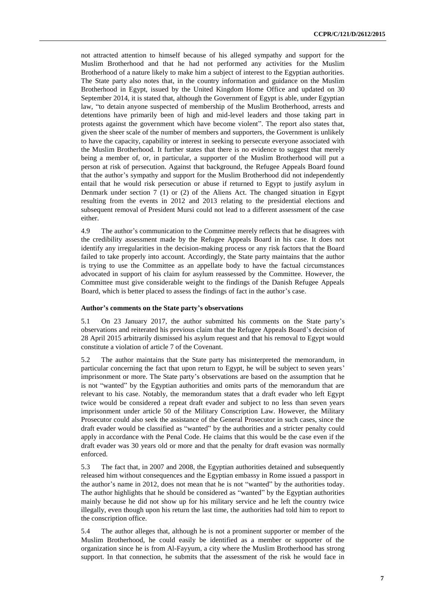not attracted attention to himself because of his alleged sympathy and support for the Muslim Brotherhood and that he had not performed any activities for the Muslim Brotherhood of a nature likely to make him a subject of interest to the Egyptian authorities. The State party also notes that, in the country information and guidance on the Muslim Brotherhood in Egypt, issued by the United Kingdom Home Office and updated on 30 September 2014, it is stated that, although the Government of Egypt is able, under Egyptian law, "to detain anyone suspected of membership of the Muslim Brotherhood, arrests and detentions have primarily been of high and mid-level leaders and those taking part in protests against the government which have become violent". The report also states that, given the sheer scale of the number of members and supporters, the Government is unlikely to have the capacity, capability or interest in seeking to persecute everyone associated with the Muslim Brotherhood. It further states that there is no evidence to suggest that merely being a member of, or, in particular, a supporter of the Muslim Brotherhood will put a person at risk of persecution. Against that background, the Refugee Appeals Board found that the author's sympathy and support for the Muslim Brotherhood did not independently entail that he would risk persecution or abuse if returned to Egypt to justify asylum in Denmark under section  $7(1)$  or (2) of the Aliens Act. The changed situation in Egypt resulting from the events in 2012 and 2013 relating to the presidential elections and subsequent removal of President Mursi could not lead to a different assessment of the case either.

4.9 The author's communication to the Committee merely reflects that he disagrees with the credibility assessment made by the Refugee Appeals Board in his case. It does not identify any irregularities in the decision-making process or any risk factors that the Board failed to take properly into account. Accordingly, the State party maintains that the author is trying to use the Committee as an appellate body to have the factual circumstances advocated in support of his claim for asylum reassessed by the Committee. However, the Committee must give considerable weight to the findings of the Danish Refugee Appeals Board, which is better placed to assess the findings of fact in the author's case.

#### **Author's comments on the State party's observations**

5.1 On 23 January 2017, the author submitted his comments on the State party's observations and reiterated his previous claim that the Refugee Appeals Board's decision of 28 April 2015 arbitrarily dismissed his asylum request and that his removal to Egypt would constitute a violation of article 7 of the Covenant.

5.2 The author maintains that the State party has misinterpreted the memorandum, in particular concerning the fact that upon return to Egypt, he will be subject to seven years' imprisonment or more. The State party's observations are based on the assumption that he is not "wanted" by the Egyptian authorities and omits parts of the memorandum that are relevant to his case. Notably, the memorandum states that a draft evader who left Egypt twice would be considered a repeat draft evader and subject to no less than seven years imprisonment under article 50 of the Military Conscription Law. However, the Military Prosecutor could also seek the assistance of the General Prosecutor in such cases, since the draft evader would be classified as "wanted" by the authorities and a stricter penalty could apply in accordance with the Penal Code. He claims that this would be the case even if the draft evader was 30 years old or more and that the penalty for draft evasion was normally enforced.

5.3 The fact that, in 2007 and 2008, the Egyptian authorities detained and subsequently released him without consequences and the Egyptian embassy in Rome issued a passport in the author's name in 2012, does not mean that he is not "wanted" by the authorities today. The author highlights that he should be considered as "wanted" by the Egyptian authorities mainly because he did not show up for his military service and he left the country twice illegally, even though upon his return the last time, the authorities had told him to report to the conscription office.

5.4 The author alleges that, although he is not a prominent supporter or member of the Muslim Brotherhood, he could easily be identified as a member or supporter of the organization since he is from Al-Fayyum, a city where the Muslim Brotherhood has strong support. In that connection, he submits that the assessment of the risk he would face in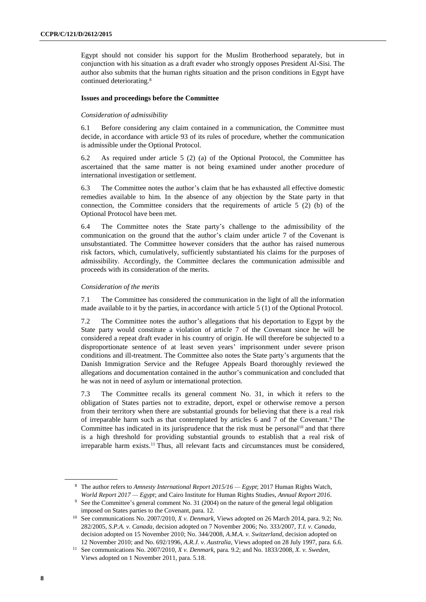Egypt should not consider his support for the Muslim Brotherhood separately, but in conjunction with his situation as a draft evader who strongly opposes President Al-Sisi. The author also submits that the human rights situation and the prison conditions in Egypt have continued deteriorating.<sup>8</sup>

#### **Issues and proceedings before the Committee**

#### *Consideration of admissibility*

6.1 Before considering any claim contained in a communication, the Committee must decide, in accordance with article 93 of its rules of procedure, whether the communication is admissible under the Optional Protocol.

6.2 As required under article 5 (2) (a) of the Optional Protocol, the Committee has ascertained that the same matter is not being examined under another procedure of international investigation or settlement.

6.3 The Committee notes the author's claim that he has exhausted all effective domestic remedies available to him. In the absence of any objection by the State party in that connection, the Committee considers that the requirements of article 5 (2) (b) of the Optional Protocol have been met.

6.4 The Committee notes the State party's challenge to the admissibility of the communication on the ground that the author's claim under article 7 of the Covenant is unsubstantiated. The Committee however considers that the author has raised numerous risk factors, which, cumulatively, sufficiently substantiated his claims for the purposes of admissibility. Accordingly, the Committee declares the communication admissible and proceeds with its consideration of the merits.

#### *Consideration of the merits*

7.1 The Committee has considered the communication in the light of all the information made available to it by the parties, in accordance with article 5 (1) of the Optional Protocol.

7.2 The Committee notes the author's allegations that his deportation to Egypt by the State party would constitute a violation of article 7 of the Covenant since he will be considered a repeat draft evader in his country of origin. He will therefore be subjected to a disproportionate sentence of at least seven years' imprisonment under severe prison conditions and ill-treatment. The Committee also notes the State party's arguments that the Danish Immigration Service and the Refugee Appeals Board thoroughly reviewed the allegations and documentation contained in the author's communication and concluded that he was not in need of asylum or international protection.

7.3 The Committee recalls its general comment No. 31, in which it refers to the obligation of States parties not to extradite, deport, expel or otherwise remove a person from their territory when there are substantial grounds for believing that there is a real risk of irreparable harm such as that contemplated by articles 6 and 7 of the Covenant.<sup>9</sup> The Committee has indicated in its jurisprudence that the risk must be personal<sup>10</sup> and that there is a high threshold for providing substantial grounds to establish that a real risk of irreparable harm exists.<sup>11</sup> Thus, all relevant facts and circumstances must be considered,

<sup>8</sup> The author refers to *Amnesty International Report 2015/16 — Egypt*; 2017 Human Rights Watch, *World Report 2017 — Egypt*; and Cairo Institute for Human Rights Studies, *Annual Report 2016*.

<sup>9</sup> See the Committee's general comment No. 31 (2004) on the nature of the general legal obligation imposed on States parties to the Covenant, para. 12.

<sup>10</sup> See communications No. 2007/2010, *X v. Denmark*, Views adopted on 26 March 2014, para. 9.2; No. 282/2005, *S.P.A. v. Canada*, decision adopted on 7 November 2006; No. 333/2007, *T.I. v*. *Canada*, decision adopted on 15 November 2010; No. 344/2008, *A.M.A. v. Switzerland*, decision adopted on 12 November 2010; and No. 692/1996, *A.R.J. v. Australia,* Views adopted on 28 July 1997, para. 6.6.

<sup>11</sup> See communications No. 2007/2010*, X v. Denmark*, para. 9.2; and No. 1833/2008*, X. v. Sweden*, Views adopted on 1 November 2011, para. 5.18.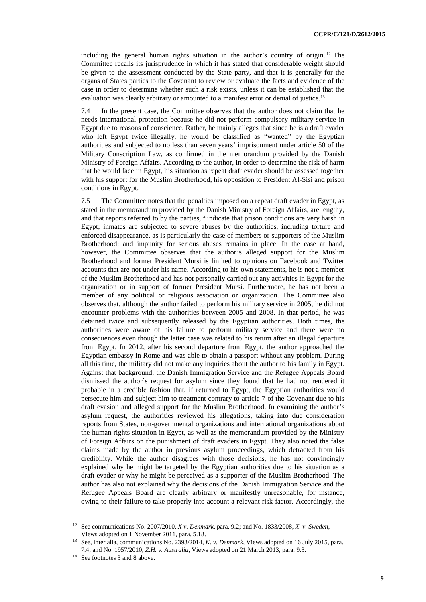including the general human rights situation in the author's country of origin. <sup>12</sup> The Committee recalls its jurisprudence in which it has stated that considerable weight should be given to the assessment conducted by the State party, and that it is generally for the organs of States parties to the Covenant to review or evaluate the facts and evidence of the case in order to determine whether such a risk exists, unless it can be established that the evaluation was clearly arbitrary or amounted to a manifest error or denial of justice.<sup>13</sup>

7.4 In the present case, the Committee observes that the author does not claim that he needs international protection because he did not perform compulsory military service in Egypt due to reasons of conscience. Rather, he mainly alleges that since he is a draft evader who left Egypt twice illegally, he would be classified as "wanted" by the Egyptian authorities and subjected to no less than seven years' imprisonment under article 50 of the Military Conscription Law, as confirmed in the memorandum provided by the Danish Ministry of Foreign Affairs. According to the author, in order to determine the risk of harm that he would face in Egypt, his situation as repeat draft evader should be assessed together with his support for the Muslim Brotherhood, his opposition to President Al-Sisi and prison conditions in Egypt.

7.5 The Committee notes that the penalties imposed on a repeat draft evader in Egypt, as stated in the memorandum provided by the Danish Ministry of Foreign Affairs, are lengthy, and that reports referred to by the parties,<sup>14</sup> indicate that prison conditions are very harsh in Egypt; inmates are subjected to severe abuses by the authorities, including torture and enforced disappearance, as is particularly the case of members or supporters of the Muslim Brotherhood; and impunity for serious abuses remains in place. In the case at hand, however, the Committee observes that the author's alleged support for the Muslim Brotherhood and former President Mursi is limited to opinions on Facebook and Twitter accounts that are not under his name. According to his own statements, he is not a member of the Muslim Brotherhood and has not personally carried out any activities in Egypt for the organization or in support of former President Mursi. Furthermore, he has not been a member of any political or religious association or organization. The Committee also observes that, although the author failed to perform his military service in 2005, he did not encounter problems with the authorities between 2005 and 2008. In that period, he was detained twice and subsequently released by the Egyptian authorities. Both times, the authorities were aware of his failure to perform military service and there were no consequences even though the latter case was related to his return after an illegal departure from Egypt. In 2012, after his second departure from Egypt, the author approached the Egyptian embassy in Rome and was able to obtain a passport without any problem. During all this time, the military did not make any inquiries about the author to his family in Egypt. Against that background, the Danish Immigration Service and the Refugee Appeals Board dismissed the author's request for asylum since they found that he had not rendered it probable in a credible fashion that, if returned to Egypt, the Egyptian authorities would persecute him and subject him to treatment contrary to article 7 of the Covenant due to his draft evasion and alleged support for the Muslim Brotherhood. In examining the author's asylum request, the authorities reviewed his allegations, taking into due consideration reports from States, non-governmental organizations and international organizations about the human rights situation in Egypt, as well as the memorandum provided by the Ministry of Foreign Affairs on the punishment of draft evaders in Egypt. They also noted the false claims made by the author in previous asylum proceedings, which detracted from his credibility. While the author disagrees with those decisions, he has not convincingly explained why he might be targeted by the Egyptian authorities due to his situation as a draft evader or why he might be perceived as a supporter of the Muslim Brotherhood. The author has also not explained why the decisions of the Danish Immigration Service and the Refugee Appeals Board are clearly arbitrary or manifestly unreasonable, for instance, owing to their failure to take properly into account a relevant risk factor. Accordingly, the

<sup>12</sup> See communications No. 2007/2010*, X v. Denmark*, para. 9.2; and No. 1833/2008*, X. v. Sweden*, Views adopted on 1 November 2011, para. 5.18.

<sup>13</sup> See, inter alia, communications No. 2393/2014, *K. v. Denmark*, Views adopted on 16 July 2015, para. 7.4; and No. 1957/2010, *Z.H. v. Australia*, Views adopted on 21 March 2013, para. 9.3.

<sup>14</sup> See footnotes 3 and 8 above.